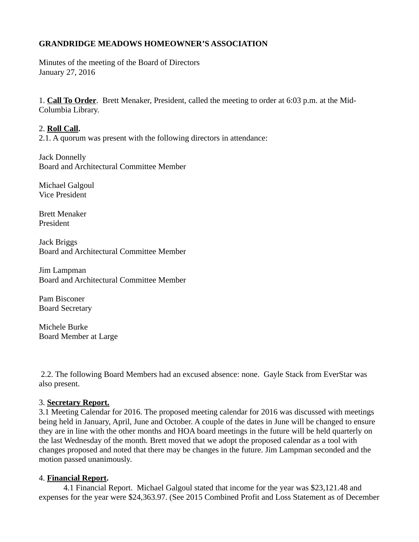# **GRANDRIDGE MEADOWS HOMEOWNER'S ASSOCIATION**

Minutes of the meeting of the Board of Directors January 27, 2016

1. **Call To Order**. Brett Menaker, President, called the meeting to order at 6:03 p.m. at the Mid-Columbia Library.

## 2. **Roll Call.**

2.1. A quorum was present with the following directors in attendance:

Jack Donnelly Board and Architectural Committee Member

Michael Galgoul Vice President

Brett Menaker President

Jack Briggs Board and Architectural Committee Member

Jim Lampman Board and Architectural Committee Member

Pam Bisconer Board Secretary

Michele Burke Board Member at Large

2.2. The following Board Members had an excused absence: none. Gayle Stack from EverStar was also present.

# 3. **Secretary Report.**

3.1 Meeting Calendar for 2016. The proposed meeting calendar for 2016 was discussed with meetings being held in January, April, June and October. A couple of the dates in June will be changed to ensure they are in line with the other months and HOA board meetings in the future will be held quarterly on the last Wednesday of the month. Brett moved that we adopt the proposed calendar as a tool with changes proposed and noted that there may be changes in the future. Jim Lampman seconded and the motion passed unanimously.

## 4. **Financial Report.**

 4.1 Financial Report. Michael Galgoul stated that income for the year was \$23,121.48 and expenses for the year were \$24,363.97. (See 2015 Combined Profit and Loss Statement as of December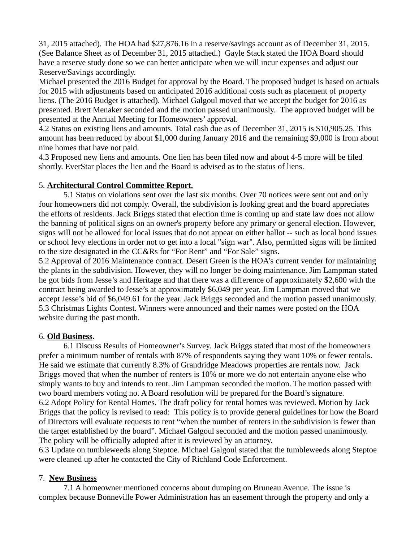31, 2015 attached). The HOA had \$27,876.16 in a reserve/savings account as of December 31, 2015. (See Balance Sheet as of December 31, 2015 attached.) Gayle Stack stated the HOA Board should have a reserve study done so we can better anticipate when we will incur expenses and adjust our Reserve/Savings accordingly.

Michael presented the 2016 Budget for approval by the Board. The proposed budget is based on actuals for 2015 with adjustments based on anticipated 2016 additional costs such as placement of property liens. (The 2016 Budget is attached). Michael Galgoul moved that we accept the budget for 2016 as presented. Brett Menaker seconded and the motion passed unanimously. The approved budget will be presented at the Annual Meeting for Homeowners' approval.

4.2 Status on existing liens and amounts. Total cash due as of December 31, 2015 is \$10,905.25. This amount has been reduced by about \$1,000 during January 2016 and the remaining \$9,000 is from about nine homes that have not paid.

4.3 Proposed new liens and amounts. One lien has been filed now and about 4-5 more will be filed shortly. EverStar places the lien and the Board is advised as to the status of liens.

# 5. **Architectural Control Committee Report.**

 5.1 Status on violations sent over the last six months. Over 70 notices were sent out and only four homeowners did not comply. Overall, the subdivision is looking great and the board appreciates the efforts of residents. Jack Briggs stated that election time is coming up and state law does not allow the banning of political signs on an owner's property before any primary or general election. However, signs will not be allowed for local issues that do not appear on either ballot -- such as local bond issues or school levy elections in order not to get into a local "sign war". Also, permitted signs will be limited to the size designated in the CC&Rs for "For Rent" and "For Sale" signs.

5.2 Approval of 2016 Maintenance contract. Desert Green is the HOA's current vender for maintaining the plants in the subdivision. However, they will no longer be doing maintenance. Jim Lampman stated he got bids from Jesse's and Heritage and that there was a difference of approximately \$2,600 with the contract being awarded to Jesse's at approximately \$6,049 per year. Jim Lampman moved that we accept Jesse's bid of \$6,049.61 for the year. Jack Briggs seconded and the motion passed unanimously. 5.3 Christmas Lights Contest. Winners were announced and their names were posted on the HOA website during the past month.

## 6. **Old Business.**

 6.1 Discuss Results of Homeowner's Survey. Jack Briggs stated that most of the homeowners prefer a minimum number of rentals with 87% of respondents saying they want 10% or fewer rentals. He said we estimate that currently 8.3% of Grandridge Meadows properties are rentals now. Jack Briggs moved that when the number of renters is 10% or more we do not entertain anyone else who simply wants to buy and intends to rent. Jim Lampman seconded the motion. The motion passed with two board members voting no. A Board resolution will be prepared for the Board's signature. 6.2 Adopt Policy for Rental Homes. The draft policy for rental homes was reviewed. Motion by Jack Briggs that the policy is revised to read: This policy is to provide general guidelines for how the Board of Directors will evaluate requests to rent "when the number of renters in the subdivision is fewer than the target established by the board". Michael Galgoul seconded and the motion passed unanimously. The policy will be officially adopted after it is reviewed by an attorney.

6.3 Update on tumbleweeds along Steptoe. Michael Galgoul stated that the tumbleweeds along Steptoe were cleaned up after he contacted the City of Richland Code Enforcement.

## 7. **New Business**

 7.1 A homeowner mentioned concerns about dumping on Bruneau Avenue. The issue is complex because Bonneville Power Administration has an easement through the property and only a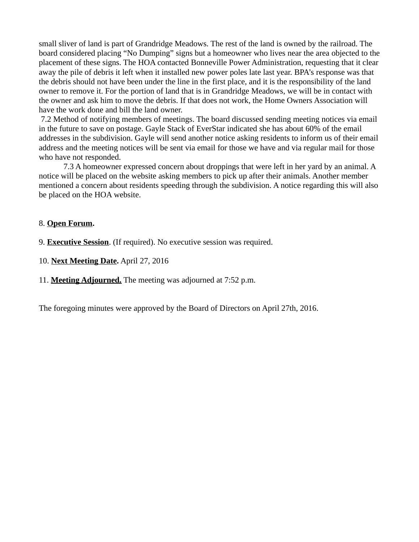small sliver of land is part of Grandridge Meadows. The rest of the land is owned by the railroad. The board considered placing "No Dumping" signs but a homeowner who lives near the area objected to the placement of these signs. The HOA contacted Bonneville Power Administration, requesting that it clear away the pile of debris it left when it installed new power poles late last year. BPA's response was that the debris should not have been under the line in the first place, and it is the responsibility of the land owner to remove it. For the portion of land that is in Grandridge Meadows, we will be in contact with the owner and ask him to move the debris. If that does not work, the Home Owners Association will have the work done and bill the land owner.

7.2 Method of notifying members of meetings. The board discussed sending meeting notices via email in the future to save on postage. Gayle Stack of EverStar indicated she has about 60% of the email addresses in the subdivision. Gayle will send another notice asking residents to inform us of their email address and the meeting notices will be sent via email for those we have and via regular mail for those who have not responded.

 7.3 A homeowner expressed concern about droppings that were left in her yard by an animal. A notice will be placed on the website asking members to pick up after their animals. Another member mentioned a concern about residents speeding through the subdivision. A notice regarding this will also be placed on the HOA website.

## 8. **Open Forum.**

9. **Executive Session**. (If required). No executive session was required.

10. **Next Meeting Date.** April 27, 2016

11. **Meeting Adjourned.** The meeting was adjourned at 7:52 p.m.

The foregoing minutes were approved by the Board of Directors on April 27th, 2016.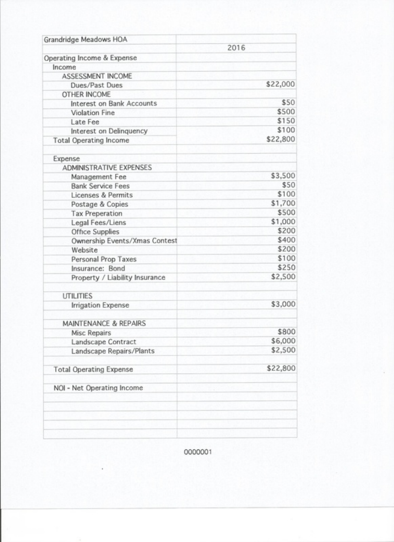| Grandridge Meadows HOA           |          |  |
|----------------------------------|----------|--|
|                                  | 2016     |  |
| Operating Income & Expense       |          |  |
| Income                           |          |  |
| ASSESSMENT INCOME                |          |  |
| Dues/Past Dues                   | \$22,000 |  |
| <b>OTHER INCOME</b>              |          |  |
| Interest on Bank Accounts        | \$50     |  |
| <b>Violation Fine</b>            | \$500    |  |
| Late Fee                         | \$150    |  |
| Interest on Delinquency          | \$100    |  |
| <b>Total Operating Income</b>    | \$22,800 |  |
| Expense                          |          |  |
| ADMINISTRATIVE EXPENSES          |          |  |
| Management Fee                   | \$3,500  |  |
| <b>Bank Service Fees</b>         | \$50     |  |
| Licenses & Permits               | \$100    |  |
| Postage & Copies                 | \$1,700  |  |
| <b>Tax Preperation</b>           | \$500    |  |
| Legal Fees/Liens                 | \$1,000  |  |
| Office Supplies                  | \$200    |  |
| Ownership Events/Xmas Contest    | \$400    |  |
| Website                          | \$200    |  |
| Personal Prop Taxes              | \$100    |  |
| Insurance: Bond                  | \$250    |  |
| Property / Liability Insurance   | \$2,500  |  |
| <b>UTILITIES</b>                 |          |  |
| <b>Irrigation Expense</b>        | \$3,000  |  |
| <b>MAINTENANCE &amp; REPAIRS</b> |          |  |
| Misc Repairs                     | \$800    |  |
| Landscape Contract               | \$6,000  |  |
| Landscape Repairs/Plants         | \$2,500  |  |
| <b>Total Operating Expense</b>   | \$22,800 |  |
| NOI - Net Operating Income       |          |  |
|                                  |          |  |
|                                  |          |  |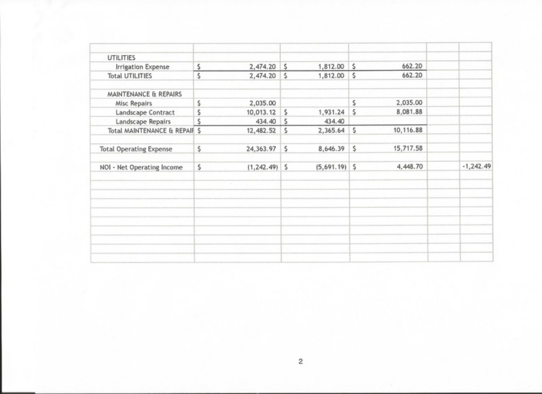| <b>UTILITIES</b>               |    |                  |              |                 |     | 662.20    |             |
|--------------------------------|----|------------------|--------------|-----------------|-----|-----------|-------------|
| Irrigation Expense             | \$ | $2,474.20$ \$    |              | $1,812.00$ \$   |     |           |             |
| <b>Total UTILITIES</b>         | \$ | 2,474.20         | <sup>s</sup> | 1,812.00 \$     |     | 662.20    | -72         |
| MAINTENANCE & REPAIRS          |    |                  |              |                 |     |           |             |
| Misc Repairs                   | \$ | 2,035.00         |              |                 | Ś   | 2,035.00  |             |
| Landscape Contract             | Ś  | 10,013.12        | S            | 1,931.24        | \$. | 8,081.88  |             |
| Landscape Repairs              | S  | 434.40 S         |              | 434.40          |     |           |             |
| Total MAINTENANCE & REPAIR \$  |    | 12,482.52        | S            | 2,365.64        | S   | 10,116.88 |             |
| <b>Total Operating Expense</b> | \$ | 24,363.97        | \$.          | 8,646.39        | S   | 15,717.58 |             |
| NOI - Net Operating Income     | \$ | $(1, 242.49)$ \$ |              | $(5,691.19)$ \$ |     | 4,448.70  | $-1,242.49$ |
|                                |    |                  |              |                 |     |           |             |
|                                |    |                  |              |                 |     |           |             |
|                                |    |                  |              |                 |     |           |             |
|                                |    |                  |              |                 |     |           |             |
|                                |    |                  |              |                 |     |           |             |
|                                |    |                  |              |                 |     |           |             |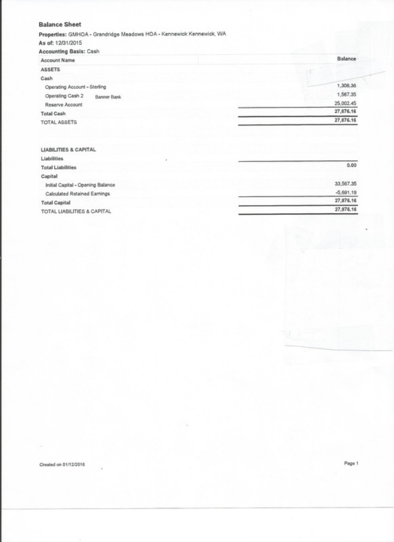#### **Balance Sheet**

Properties: GMHOA - Grandridge Meadows HOA - Kennewick Kennewick, WA

As of: 12/31/2015 Accounting Basis: Cash Balance Account Name ASSETS Cash 1,306.36 Operating Account - Sterling 1.567.35 Operating Cash 2 Banner Bank 25,002.45 Reserve Account 27.876.16 **Total Cash** 27,876.16 TOTAL ASSETS LIABILITIES & CAPITAL Liabilities  $0.00$ **Total Liabilities** 

| Capital                           |             |
|-----------------------------------|-------------|
| Initial Capital - Opening Balance | 33,567,35   |
| Calculated Retained Earnings      | $-5.691.19$ |
| <b>Total Capital</b>              | 27,876.16   |
| TOTAL LIARILITIES & CAPITAL       | 27,876.16   |

Created on 01/12/2016

Page 1